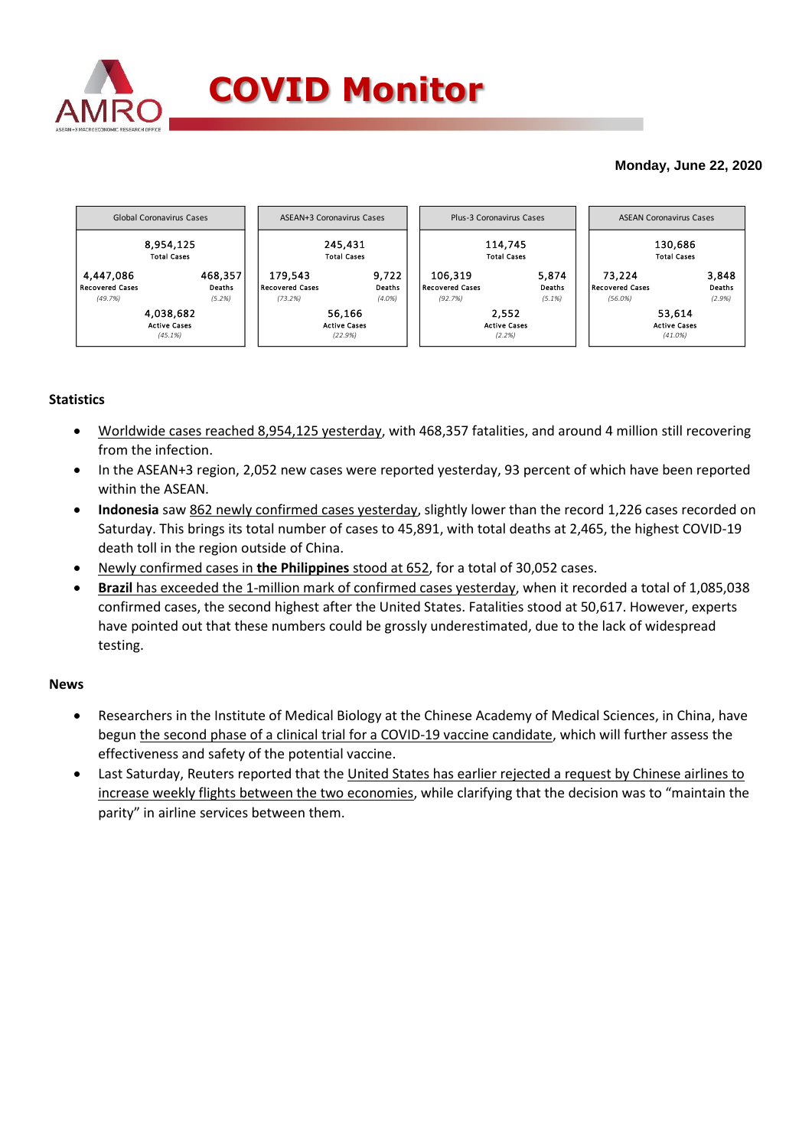

## **Monday, June 22, 2020**

|                                                | Global Coronavirus Cases                    | ASEAN+3 Coronavirus Cases                |                              | Plus-3 Coronavirus Cases                     |                                        | <b>ASEAN Coronavirus Cases</b>              |                           |  |
|------------------------------------------------|---------------------------------------------|------------------------------------------|------------------------------|----------------------------------------------|----------------------------------------|---------------------------------------------|---------------------------|--|
|                                                | 8,954,125<br><b>Total Cases</b>             | 245,431<br><b>Total Cases</b>            |                              |                                              | 114,745<br><b>Total Cases</b>          | 130,686<br><b>Total Cases</b>               |                           |  |
| 4,447,086<br><b>Recovered Cases</b><br>(49.7%) | 468,357<br>Deaths<br>(5.2%)                 | 179,543<br>Recovered Cases<br>(73.2%)    | 9,722<br>Deaths<br>$(4.0\%)$ | 106,319<br><b>Recovered Cases</b><br>(92.7%) | 5,874<br>Deaths<br>$(5.1\%)$           | 73.224<br><b>Recovered Cases</b><br>(56.0%) | 3,848<br>Deaths<br>(2.9%) |  |
|                                                | 4,038,682<br><b>Active Cases</b><br>(45.1%) | 56,166<br><b>Active Cases</b><br>(22.9%) |                              |                                              | 2.552<br><b>Active Cases</b><br>(2.2%) | 53,614<br><b>Active Cases</b><br>$(41.0\%)$ |                           |  |

## **Statistics**

- Worldwide cases reached 8,954,125 yesterday, with 468,357 fatalities, and around 4 million still recovering from the infection.
- In the ASEAN+3 region, 2,052 new cases were reported yesterday, 93 percent of which have been reported within the ASEAN.
- Indonesia saw 862 newly confirmed cases yesterday, slightly lower than the record 1,226 cases recorded on Saturday. This brings its total number of cases to 45,891, with total deaths at 2,465, the highest COVID-19 death toll in the region outside of China.
- Newly confirmed cases in **the Philippines** stood at 652, for a total of 30,052 cases.
- **Brazil** has exceeded the 1-million mark of confirmed cases yesterday, when it recorded a total of 1,085,038 confirmed cases, the second highest after the United States. Fatalities stood at 50,617. However, experts have pointed out that these numbers could be grossly underestimated, due to the lack of widespread testing.

## **News**

- Researchers in the Institute of Medical Biology at the Chinese Academy of Medical Sciences, in China, have begun the second phase of a clinical trial for a COVID-19 vaccine candidate, which will further assess the effectiveness and safety of the potential vaccine.
- Last Saturday, Reuters reported that the United States has earlier rejected a request by Chinese airlines to increase weekly flights between the two economies, while clarifying that the decision was to "maintain the parity" in airline services between them.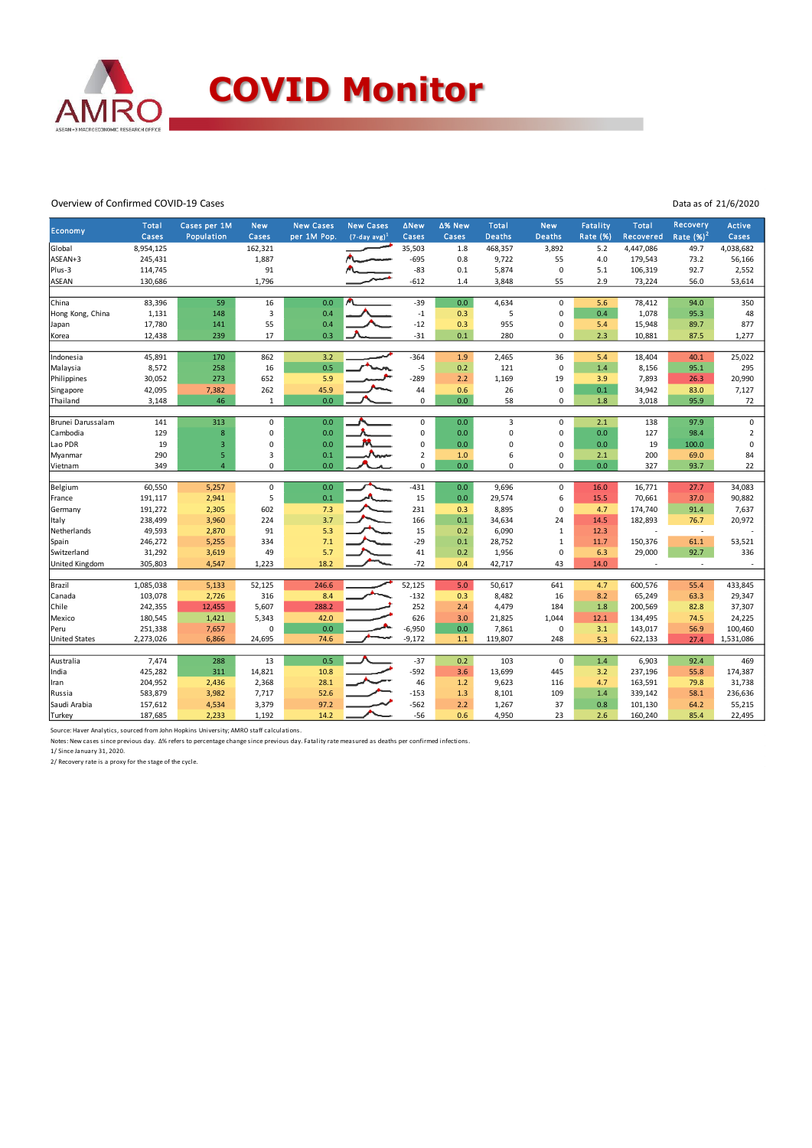

## Overview of Confirmed COVID-19 Cases

Data as of 21/6/2020

| Economy               | <b>Total</b> | Cases per 1M   | <b>New</b>   | <b>New Cases</b> | <b>New Cases</b> | <b>ANew</b>    | ∆% New | Total         | <b>New</b>     | <b>Fatality</b> | Total     | <b>Recovery</b>          | <b>Active</b>  |
|-----------------------|--------------|----------------|--------------|------------------|------------------|----------------|--------|---------------|----------------|-----------------|-----------|--------------------------|----------------|
|                       | Cases        | Population     | Cases        | per 1M Pop.      | $(7-day avg)^1$  | Cases          | Cases  | <b>Deaths</b> | <b>Deaths</b>  | Rate (%)        | Recovered | Rate $(%)2$              | Cases          |
| Global                | 8,954,125    |                | 162,321      |                  |                  | 35,503         | 1.8    | 468,357       | 3,892          | 5.2             | 4,447,086 | 49.7                     | 4,038,682      |
| ASEAN+3               | 245,431      |                | 1,887        |                  |                  | $-695$         | 0.8    | 9,722         | 55             | 4.0             | 179,543   | 73.2                     | 56,166         |
| Plus-3                | 114,745      |                | 91           |                  |                  | $-83$          | 0.1    | 5,874         | $\mathbf 0$    | 5.1             | 106,319   | 92.7                     | 2,552          |
| ASEAN                 | 130,686      |                | 1,796        |                  |                  | $-612$         | 1.4    | 3,848         | 55             | 2.9             | 73,224    | 56.0                     | 53,614         |
| China                 | 83,396       | 59             | 16           | 0.0              |                  | $-39$          | 0.0    | 4,634         | $\pmb{0}$      | 5.6             | 78,412    | 94.0                     | 350            |
| Hong Kong, China      | 1,131        | 148            | 3            | 0.4              |                  | $-1$           | 0.3    | 5             | $\overline{0}$ | 0.4             | 1,078     | 95.3                     | 48             |
| Japan                 | 17,780       | 141            | 55           | 0.4              |                  | $-12$          | 0.3    | 955           | $\overline{0}$ | 5.4             | 15,948    | 89.7                     | 877            |
| Korea                 | 12,438       | 239            | 17           | 0.3              |                  | $-31$          | 0.1    | 280           | $\Omega$       | 2.3             | 10,881    | 87.5                     | 1,277          |
|                       |              |                |              |                  |                  |                |        |               |                |                 |           |                          |                |
| Indonesia             | 45,891       | 170            | 862          | 3.2              |                  | $-364$         | 1.9    | 2,465         | 36             | 5.4             | 18,404    | 40.1                     | 25,022         |
| Malaysia              | 8,572        | 258            | 16           | 0.5              |                  | $-5$           | 0.2    | 121           | $\mathbf 0$    | 1.4             | 8,156     | 95.1                     | 295            |
| Philippines           | 30,052       | 273            | 652          | 5.9              |                  | $-289$         | 2.2    | 1,169         | 19             | 3.9             | 7,893     | 26.3                     | 20,990         |
| Singapore             | 42,095       | 7,382          | 262          | 45.9             |                  | 44             | 0.6    | 26            | $\mathbf 0$    | 0.1             | 34,942    | 83.0                     | 7,127          |
| Thailand              | 3,148        | 46             | $\mathbf{1}$ | 0.0              |                  | 0              | 0.0    | 58            | $\Omega$       | $1.8\,$         | 3,018     | 95.9                     | 72             |
|                       |              |                |              |                  |                  |                |        |               |                |                 |           |                          |                |
| Brunei Darussalam     | 141          | 313            | 0            | 0.0              |                  | $\mathsf 0$    | 0.0    | 3             | $\pmb{0}$      | 2.1             | 138       | 97.9                     | $\pmb{0}$      |
| Cambodia              | 129          | $\bf 8$        | 0            | 0.0              |                  | 0              | 0.0    | 0             | $\overline{0}$ | 0.0             | 127       | 98.4                     | $\overline{2}$ |
| Lao PDR               | 19           | $\mathsf 3$    | 0            | 0.0              |                  | $\mathsf 0$    | 0.0    | 0             | $\overline{0}$ | 0.0             | 19        | 100.0                    | $\pmb{0}$      |
| Myanmar               | 290          | 5              | 3            | 0.1              |                  | $\overline{2}$ | 1.0    | 6             | 0              | 2.1             | 200       | 69.0                     | 84             |
| Vietnam               | 349          | $\overline{4}$ | 0            | 0.0              |                  | $\mathbf 0$    | 0.0    | 0             | $\Omega$       | 0.0             | 327       | 93.7                     | 22             |
|                       |              |                |              |                  |                  |                |        |               |                |                 |           |                          |                |
| Belgium               | 60,550       | 5,257          | 0            | 0.0              |                  | $-431$         | 0.0    | 9,696         | $\mathbf 0$    | 16.0            | 16,771    | 27.7                     | 34,083         |
| France                | 191,117      | 2,941          | 5            | 0.1              |                  | 15             | 0.0    | 29,574        | 6              | 15.5            | 70,661    | 37.0                     | 90,882         |
| Germany               | 191,272      | 2,305          | 602          | 7.3              |                  | 231            | 0.3    | 8,895         | $\pmb{0}$      | 4.7             | 174,740   | 91.4                     | 7,637          |
| Italy                 | 238,499      | 3,960          | 224          | 3.7              |                  | 166            | 0.1    | 34,634        | 24             | 14.5            | 182,893   | 76.7                     | 20,972         |
| Netherlands           | 49,593       | 2,870          | 91           | 5.3              |                  | 15             | 0.2    | 6,090         | $\mathbf{1}$   | 12.3            |           | $\overline{\phantom{a}}$ |                |
| Spain                 | 246,272      | 5,255          | 334          | 7.1              |                  | $-29$          | 0.1    | 28,752        | $\mathbf{1}$   | 11.7            | 150,376   | 61.1                     | 53,521         |
| Switzerland           | 31,292       | 3,619          | 49           | 5.7              |                  | 41             | 0.2    | 1,956         | $\Omega$       | 6.3             | 29,000    | 92.7                     | 336            |
| <b>United Kingdom</b> | 305,803      | 4,547          | 1,223        | 18.2             |                  | $-72$          | 0.4    | 42,717        | 43             | 14.0            | $\sim$    | $\bar{a}$                | $\sim$         |
|                       |              |                |              |                  |                  |                |        |               |                |                 |           |                          |                |
| Brazil                | 1,085,038    | 5,133          | 52,125       | 246.6            |                  | 52,125         | 5.0    | 50,617        | 641            | 4.7             | 600,576   | 55.4                     | 433,845        |
| Canada                | 103,078      | 2,726          | 316          | 8.4              |                  | $-132$         | 0.3    | 8,482         | 16             | 8.2             | 65,249    | 63.3                     | 29,347         |
| Chile                 | 242,355      | 12,455         | 5,607        | 288.2            |                  | 252            | 2.4    | 4,479         | 184            | 1.8             | 200,569   | 82.8                     | 37,307         |
| Mexico                | 180,545      | 1,421          | 5,343        | 42.0             |                  | 626            | 3.0    | 21,825        | 1,044          | 12.1            | 134,495   | 74.5                     | 24,225         |
| Peru                  | 251,338      | 7,657          | $\Omega$     | 0.0              |                  | $-6,950$       | 0.0    | 7,861         | $\mathbf 0$    | 3.1             | 143,017   | 56.9                     | 100,460        |
| <b>United States</b>  | 2,273,026    | 6,866          | 24,695       | 74.6             |                  | $-9,172$       | $1.1$  | 119,807       | 248            | 5.3             | 622,133   | 27.4                     | 1,531,086      |
|                       | 7,474        | 288            | 13           | 0.5              |                  | $-37$          |        | 103           | $\mathbf 0$    | $1.4\,$         | 6,903     | 92.4                     | 469            |
| Australia             |              | 311            | 14,821       |                  |                  |                | 0.2    |               | 445            |                 |           |                          |                |
| India                 | 425,282      |                |              | 10.8             |                  | $-592$         | 3.6    | 13,699        |                | 3.2             | 237,196   | 55.8                     | 174,387        |
| Iran                  | 204,952      | 2,436          | 2,368        | 28.1             |                  | 46             | 1.2    | 9,623         | 116            | 4.7             | 163,591   | 79.8                     | 31,738         |
| Russia                | 583,879      | 3,982          | 7,717        | 52.6             |                  | $-153$         | 1.3    | 8,101         | 109            | 1.4             | 339,142   | 58.1                     | 236,636        |
| Saudi Arabia          | 157,612      | 4,534          | 3,379        | 97.2             |                  | $-562$         | 2.2    | 1,267         | 37             | 0.8             | 101,130   | 64.2                     | 55,215         |
| Turkey                | 187,685      | 2,233          | 1,192        | 14.2             |                  | $-56$          | 0.6    | 4,950         | 23             | 2.6             | 160,240   | 85.4                     | 22,495         |

Source: Haver Analytics, sourced from John Hopkins University; AMRO staff calculations.

Notes: New cases since previous day. Δ% refers to percentage change since previous day. Fatality rate measured as deaths per confirmed infections.<br>1/ Since January 31, 2020.

2/ Recovery rate is a proxy for the stage of the cycle.